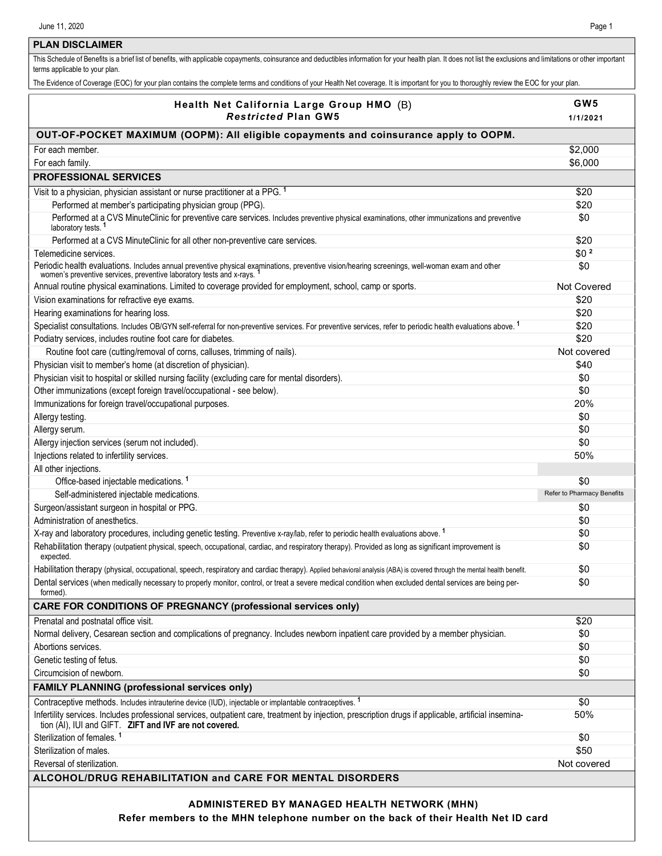## **PLAN DISCLAIMER**

This Schedule of Benefits is a brief list of benefits, with applicable copayments, coinsurance and deductibles information for your health plan. It does not list the exclusions and limitations or other important terms applicable to your plan.

The Evidence of Coverage (EOC) for your plan contains the complete terms and conditions of your Health Net coverage. It is important for you to thoroughly review the EOC for your plan.

| Health Net California Large Group HMO (B)<br><b>Restricted Plan GW5</b>                                                                                                                                                          | GW <sub>5</sub><br>1/1/2021 |
|----------------------------------------------------------------------------------------------------------------------------------------------------------------------------------------------------------------------------------|-----------------------------|
|                                                                                                                                                                                                                                  |                             |
| OUT-OF-POCKET MAXIMUM (OOPM): All eligible copayments and coinsurance apply to OOPM.<br>For each member.                                                                                                                         | \$2,000                     |
| For each family.                                                                                                                                                                                                                 | \$6,000                     |
| <b>PROFESSIONAL SERVICES</b>                                                                                                                                                                                                     |                             |
|                                                                                                                                                                                                                                  |                             |
| Visit to a physician, physician assistant or nurse practitioner at a PPG. <sup>1</sup>                                                                                                                                           | \$20                        |
| Performed at member's participating physician group (PPG).                                                                                                                                                                       | \$20                        |
| Performed at a CVS MinuteClinic for preventive care services. Includes preventive physical examinations, other immunizations and preventive<br>laboratory tests. <sup>1</sup>                                                    | \$0                         |
| Performed at a CVS MinuteClinic for all other non-preventive care services.                                                                                                                                                      | \$20                        |
| Telemedicine services.                                                                                                                                                                                                           | \$0 <sup>2</sup>            |
| Periodic health evaluations. Includes annual preventive physical examinations, preventive vision/hearing screenings, well-woman exam and other women's preventive services, preventive laboratory tests and x-rays. <sup>1</sup> | \$0                         |
| Annual routine physical examinations. Limited to coverage provided for employment, school, camp or sports.                                                                                                                       | Not Covered                 |
| Vision examinations for refractive eye exams.                                                                                                                                                                                    | \$20                        |
| Hearing examinations for hearing loss.                                                                                                                                                                                           | \$20                        |
| Specialist consultations. Includes OB/GYN self-referral for non-preventive services. For preventive services, refer to periodic health evaluations above. <sup>1</sup>                                                           | \$20                        |
| Podiatry services, includes routine foot care for diabetes.                                                                                                                                                                      | \$20                        |
| Routine foot care (cutting/removal of corns, calluses, trimming of nails).                                                                                                                                                       | Not covered                 |
| Physician visit to member's home (at discretion of physician).                                                                                                                                                                   | \$40                        |
| Physician visit to hospital or skilled nursing facility (excluding care for mental disorders).                                                                                                                                   | \$0                         |
| Other immunizations (except foreign travel/occupational - see below).                                                                                                                                                            | \$0                         |
| Immunizations for foreign travel/occupational purposes.                                                                                                                                                                          | 20%                         |
| Allergy testing.                                                                                                                                                                                                                 | \$0                         |
| Allergy serum.                                                                                                                                                                                                                   | \$0                         |
| Allergy injection services (serum not included).                                                                                                                                                                                 | \$0                         |
| Injections related to infertility services.                                                                                                                                                                                      | 50%                         |
| All other injections.                                                                                                                                                                                                            |                             |
| Office-based injectable medications. <sup>1</sup>                                                                                                                                                                                | \$0                         |
| Self-administered injectable medications.                                                                                                                                                                                        | Refer to Pharmacy Benefits  |
| Surgeon/assistant surgeon in hospital or PPG.                                                                                                                                                                                    | \$0                         |
| Administration of anesthetics.                                                                                                                                                                                                   | \$0                         |
| X-ray and laboratory procedures, including genetic testing. Preventive x-ray/lab, refer to periodic health evaluations above. <sup>1</sup>                                                                                       | \$0                         |
| Rehabilitation therapy (outpatient physical, speech, occupational, cardiac, and respiratory therapy). Provided as long as significant improvement is<br>expected.                                                                | \$0                         |
| Habilitation therapy (physical, occupational, speech, respiratory and cardiac therapy). Applied behavioral analysis (ABA) is covered through the mental health benefit.                                                          | \$0                         |
| Dental services (when medically necessary to properly monitor, control, or treat a severe medical condition when excluded dental services are being per-<br>formed).                                                             | \$0                         |
| <b>CARE FOR CONDITIONS OF PREGNANCY (professional services only)</b>                                                                                                                                                             |                             |
| Prenatal and postnatal office visit.                                                                                                                                                                                             | \$20                        |
| Normal delivery, Cesarean section and complications of pregnancy. Includes newborn inpatient care provided by a member physician.                                                                                                | \$0                         |
| Abortions services.                                                                                                                                                                                                              | \$0                         |
| Genetic testing of fetus.                                                                                                                                                                                                        | \$0                         |
| Circumcision of newborn.                                                                                                                                                                                                         | \$0                         |
| <b>FAMILY PLANNING (professional services only)</b>                                                                                                                                                                              |                             |
| Contraceptive methods. Includes intrauterine device (IUD), injectable or implantable contraceptives. <sup>1</sup>                                                                                                                | \$0                         |
| Infertility services. Includes professional services, outpatient care, treatment by injection, prescription drugs if applicable, artificial insemina-<br>tion (AI), IUI and GIFT. ZIFT and IVF are not covered.                  | 50%                         |
| Sterilization of females. <sup>1</sup>                                                                                                                                                                                           | \$0                         |
| Sterilization of males.                                                                                                                                                                                                          | \$50                        |
| Reversal of sterilization.                                                                                                                                                                                                       | Not covered                 |
| ALCOHOL/DRUG REHABILITATION and CARE FOR MENTAL DISORDERS                                                                                                                                                                        |                             |
| ADMINISTERED BY MANAGED HEALTH NETWORK (MHN)                                                                                                                                                                                     |                             |

**Refer members to the MHN telephone number on the back of their Health Net ID card**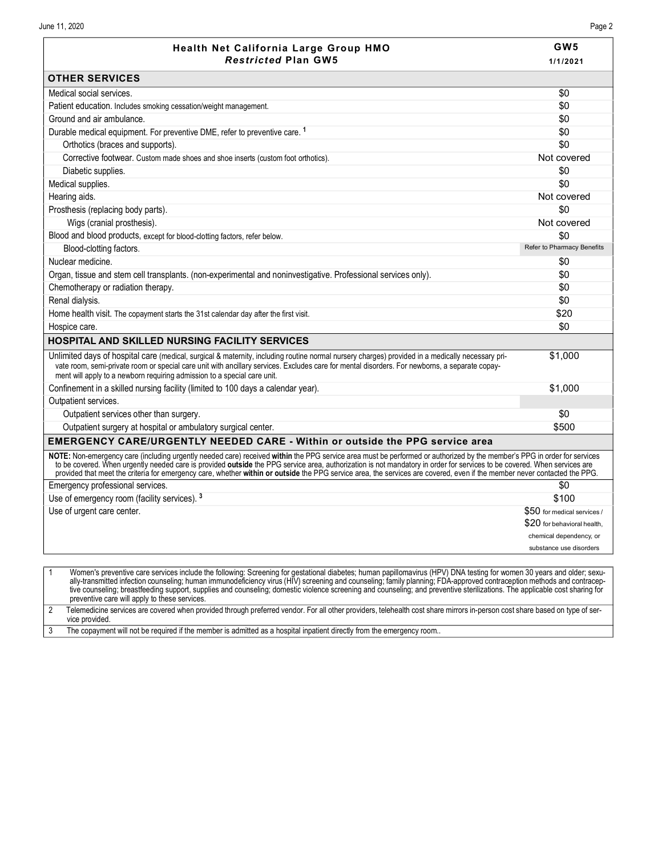vice provided.

| <b>Restricted Plan GW5</b><br><b>OTHER SERVICES</b>                                                                                                                                                                                                                                                                                                                                                                                                                                                                               | 1/1/2021                    |
|-----------------------------------------------------------------------------------------------------------------------------------------------------------------------------------------------------------------------------------------------------------------------------------------------------------------------------------------------------------------------------------------------------------------------------------------------------------------------------------------------------------------------------------|-----------------------------|
|                                                                                                                                                                                                                                                                                                                                                                                                                                                                                                                                   |                             |
|                                                                                                                                                                                                                                                                                                                                                                                                                                                                                                                                   |                             |
| Medical social services.                                                                                                                                                                                                                                                                                                                                                                                                                                                                                                          | \$0                         |
| Patient education. Includes smoking cessation/weight management.                                                                                                                                                                                                                                                                                                                                                                                                                                                                  | \$0                         |
| Ground and air ambulance.                                                                                                                                                                                                                                                                                                                                                                                                                                                                                                         | \$0                         |
| Durable medical equipment. For preventive DME, refer to preventive care. <sup>1</sup>                                                                                                                                                                                                                                                                                                                                                                                                                                             | \$0                         |
| Orthotics (braces and supports).                                                                                                                                                                                                                                                                                                                                                                                                                                                                                                  | \$0                         |
| Corrective footwear. Custom made shoes and shoe inserts (custom foot orthotics).                                                                                                                                                                                                                                                                                                                                                                                                                                                  | Not covered                 |
| Diabetic supplies.                                                                                                                                                                                                                                                                                                                                                                                                                                                                                                                | \$0                         |
| Medical supplies.                                                                                                                                                                                                                                                                                                                                                                                                                                                                                                                 | \$0                         |
| Hearing aids.                                                                                                                                                                                                                                                                                                                                                                                                                                                                                                                     | Not covered                 |
| Prosthesis (replacing body parts).                                                                                                                                                                                                                                                                                                                                                                                                                                                                                                | \$0                         |
| Wigs (cranial prosthesis).                                                                                                                                                                                                                                                                                                                                                                                                                                                                                                        | Not covered                 |
| Blood and blood products, except for blood-clotting factors, refer below.                                                                                                                                                                                                                                                                                                                                                                                                                                                         | \$0                         |
| Blood-clotting factors.                                                                                                                                                                                                                                                                                                                                                                                                                                                                                                           | Refer to Pharmacy Benefits  |
| Nuclear medicine.                                                                                                                                                                                                                                                                                                                                                                                                                                                                                                                 | \$0                         |
| Organ, tissue and stem cell transplants. (non-experimental and noninvestigative. Professional services only).                                                                                                                                                                                                                                                                                                                                                                                                                     | \$0                         |
| Chemotherapy or radiation therapy.                                                                                                                                                                                                                                                                                                                                                                                                                                                                                                | \$0                         |
| Renal dialysis.                                                                                                                                                                                                                                                                                                                                                                                                                                                                                                                   | \$0                         |
| Home health visit. The copayment starts the 31st calendar day after the first visit.                                                                                                                                                                                                                                                                                                                                                                                                                                              | \$20                        |
| Hospice care.                                                                                                                                                                                                                                                                                                                                                                                                                                                                                                                     | \$0                         |
| HOSPITAL AND SKILLED NURSING FACILITY SERVICES                                                                                                                                                                                                                                                                                                                                                                                                                                                                                    |                             |
| Unlimited days of hospital care (medical, surgical & maternity, including routine normal nursery charges) provided in a medically necessary pri-<br>vate room, semi-private room or special care unit with ancillary services. Excludes care for mental disorders. For newborns, a separate copay-<br>ment will apply to a newborn requiring admission to a special care unit.                                                                                                                                                    | \$1,000                     |
| Confinement in a skilled nursing facility (limited to 100 days a calendar year).                                                                                                                                                                                                                                                                                                                                                                                                                                                  | \$1,000                     |
| Outpatient services.                                                                                                                                                                                                                                                                                                                                                                                                                                                                                                              |                             |
| Outpatient services other than surgery.                                                                                                                                                                                                                                                                                                                                                                                                                                                                                           | \$0                         |
| Outpatient surgery at hospital or ambulatory surgical center.                                                                                                                                                                                                                                                                                                                                                                                                                                                                     | \$500                       |
| <b>EMERGENCY CARE/URGENTLY NEEDED CARE - Within or outside the PPG service area</b>                                                                                                                                                                                                                                                                                                                                                                                                                                               |                             |
| NOTE: Non-emergency care (including urgently needed care) received within the PPG service area must be performed or authorized by the member's PPG in order for services<br>to be covered. When urgently needed care is provided outside the PPG service area, authorization is not mandatory in order for services to be covered. When services are<br>provided that meet the criteria for emergency care, whether within or outside the PPG service area, the services are covered, even if the member never contacted the PPG. |                             |
| Emergency professional services.                                                                                                                                                                                                                                                                                                                                                                                                                                                                                                  | \$0                         |
| Use of emergency room (facility services). 3                                                                                                                                                                                                                                                                                                                                                                                                                                                                                      | \$100                       |
| Use of urgent care center.                                                                                                                                                                                                                                                                                                                                                                                                                                                                                                        | \$50 for medical services / |
|                                                                                                                                                                                                                                                                                                                                                                                                                                                                                                                                   | \$20 for behavioral health, |
|                                                                                                                                                                                                                                                                                                                                                                                                                                                                                                                                   | chemical dependency, or     |
|                                                                                                                                                                                                                                                                                                                                                                                                                                                                                                                                   | substance use disorders     |

tive counseling; breastfeeding support, supplies and counseling; domestic violence screening and counseling; and preventive sterilizations. The applicable cost sharing for preventive care will apply to these services. 2 Telemedicine services are covered when provided through preferred vendor. For all other providers, telehealth cost share mirrors in-person cost share based on type of ser-

3 The copayment will not be required if the member is admitted as a hospital inpatient directly from the emergency room..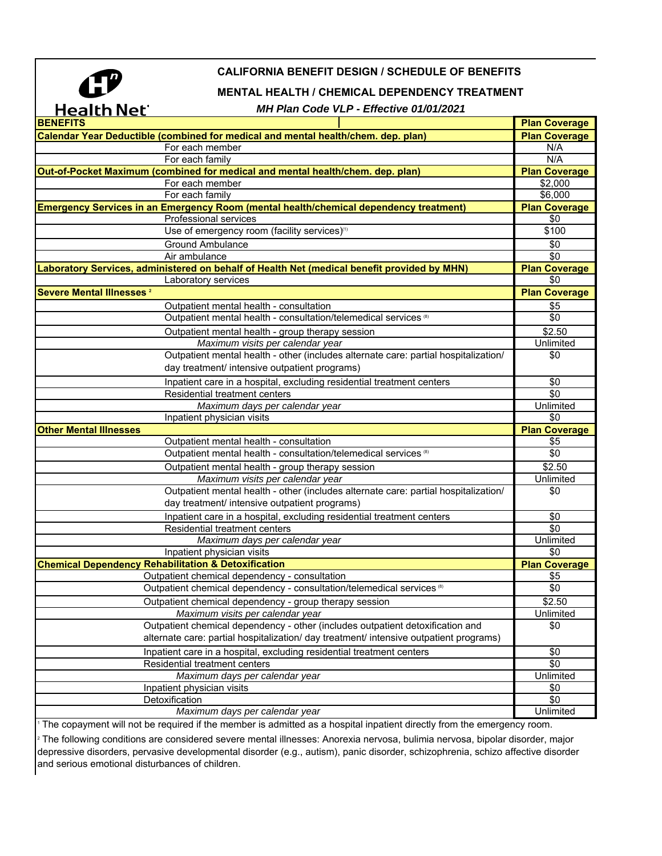

## **CALIFORNIA BENEFIT DESIGN / SCHEDULE OF BENEFITS**

## **MENTAL HEALTH / CHEMICAL DEPENDENCY TREATMENT**

## *MH Plan Code VLP - Effective 01/01/2021*

| Calendar Year Deductible (combined for medical and mental health/chem. dep. plan)<br><b>Plan Coverage</b><br>For each member<br>N/A<br>N/A<br>For each family<br>Out-of-Pocket Maximum (combined for medical and mental health/chem. dep. plan)<br><b>Plan Coverage</b><br>$\overline{$}2,000$<br>For each member<br>\$6,000<br>For each family<br><b>Emergency Services in an Emergency Room (mental health/chemical dependency treatment)</b><br><b>Plan Coverage</b><br>Professional services<br>\$0<br>Use of emergency room (facility services) <sup>11</sup><br>\$100<br><b>Ground Ambulance</b><br>\$0<br>\$0<br>Air ambulance<br>Plan Coverage<br>Laboratory Services, administered on behalf of Health Net (medical benefit provided by MHN)<br>\$0<br>Laboratory services<br>Severe Mental Illnesses <sup>2</sup><br><b>Plan Coverage</b><br>\$5<br>Outpatient mental health - consultation<br>Outpatient mental health - consultation/telemedical services (8)<br>\$0<br>\$2.50<br>Outpatient mental health - group therapy session<br>Maximum visits per calendar year<br>Unlimited<br>Outpatient mental health - other (includes alternate care: partial hospitalization/<br>\$0<br>day treatment/ intensive outpatient programs)<br>Inpatient care in a hospital, excluding residential treatment centers<br>\$0<br><b>Residential treatment centers</b><br>\$0<br>Unlimited<br>Maximum days per calendar year<br>\$0<br>Inpatient physician visits<br><b>Other Mental Illnesses</b><br><b>Plan Coverage</b><br>\$5<br>Outpatient mental health - consultation<br>Outpatient mental health - consultation/telemedical services <sup>(8)</sup><br>\$0<br>$\overline{$}2.50$<br>Outpatient mental health - group therapy session<br>Unlimited<br>Maximum visits per calendar year<br>Outpatient mental health - other (includes alternate care: partial hospitalization/<br>\$0<br>day treatment/ intensive outpatient programs)<br>Inpatient care in a hospital, excluding residential treatment centers<br>\$0<br>Residential treatment centers<br>\$0<br>Unlimited<br>Maximum days per calendar year<br>\$0<br>Inpatient physician visits<br><b>Chemical Dependency Rehabilitation &amp; Detoxification</b> |
|----------------------------------------------------------------------------------------------------------------------------------------------------------------------------------------------------------------------------------------------------------------------------------------------------------------------------------------------------------------------------------------------------------------------------------------------------------------------------------------------------------------------------------------------------------------------------------------------------------------------------------------------------------------------------------------------------------------------------------------------------------------------------------------------------------------------------------------------------------------------------------------------------------------------------------------------------------------------------------------------------------------------------------------------------------------------------------------------------------------------------------------------------------------------------------------------------------------------------------------------------------------------------------------------------------------------------------------------------------------------------------------------------------------------------------------------------------------------------------------------------------------------------------------------------------------------------------------------------------------------------------------------------------------------------------------------------------------------------------------------------------------------------------------------------------------------------------------------------------------------------------------------------------------------------------------------------------------------------------------------------------------------------------------------------------------------------------------------------------------------------------------------------------------------------------------------------------------------------|
|                                                                                                                                                                                                                                                                                                                                                                                                                                                                                                                                                                                                                                                                                                                                                                                                                                                                                                                                                                                                                                                                                                                                                                                                                                                                                                                                                                                                                                                                                                                                                                                                                                                                                                                                                                                                                                                                                                                                                                                                                                                                                                                                                                                                                            |
|                                                                                                                                                                                                                                                                                                                                                                                                                                                                                                                                                                                                                                                                                                                                                                                                                                                                                                                                                                                                                                                                                                                                                                                                                                                                                                                                                                                                                                                                                                                                                                                                                                                                                                                                                                                                                                                                                                                                                                                                                                                                                                                                                                                                                            |
|                                                                                                                                                                                                                                                                                                                                                                                                                                                                                                                                                                                                                                                                                                                                                                                                                                                                                                                                                                                                                                                                                                                                                                                                                                                                                                                                                                                                                                                                                                                                                                                                                                                                                                                                                                                                                                                                                                                                                                                                                                                                                                                                                                                                                            |
|                                                                                                                                                                                                                                                                                                                                                                                                                                                                                                                                                                                                                                                                                                                                                                                                                                                                                                                                                                                                                                                                                                                                                                                                                                                                                                                                                                                                                                                                                                                                                                                                                                                                                                                                                                                                                                                                                                                                                                                                                                                                                                                                                                                                                            |
|                                                                                                                                                                                                                                                                                                                                                                                                                                                                                                                                                                                                                                                                                                                                                                                                                                                                                                                                                                                                                                                                                                                                                                                                                                                                                                                                                                                                                                                                                                                                                                                                                                                                                                                                                                                                                                                                                                                                                                                                                                                                                                                                                                                                                            |
|                                                                                                                                                                                                                                                                                                                                                                                                                                                                                                                                                                                                                                                                                                                                                                                                                                                                                                                                                                                                                                                                                                                                                                                                                                                                                                                                                                                                                                                                                                                                                                                                                                                                                                                                                                                                                                                                                                                                                                                                                                                                                                                                                                                                                            |
|                                                                                                                                                                                                                                                                                                                                                                                                                                                                                                                                                                                                                                                                                                                                                                                                                                                                                                                                                                                                                                                                                                                                                                                                                                                                                                                                                                                                                                                                                                                                                                                                                                                                                                                                                                                                                                                                                                                                                                                                                                                                                                                                                                                                                            |
|                                                                                                                                                                                                                                                                                                                                                                                                                                                                                                                                                                                                                                                                                                                                                                                                                                                                                                                                                                                                                                                                                                                                                                                                                                                                                                                                                                                                                                                                                                                                                                                                                                                                                                                                                                                                                                                                                                                                                                                                                                                                                                                                                                                                                            |
|                                                                                                                                                                                                                                                                                                                                                                                                                                                                                                                                                                                                                                                                                                                                                                                                                                                                                                                                                                                                                                                                                                                                                                                                                                                                                                                                                                                                                                                                                                                                                                                                                                                                                                                                                                                                                                                                                                                                                                                                                                                                                                                                                                                                                            |
|                                                                                                                                                                                                                                                                                                                                                                                                                                                                                                                                                                                                                                                                                                                                                                                                                                                                                                                                                                                                                                                                                                                                                                                                                                                                                                                                                                                                                                                                                                                                                                                                                                                                                                                                                                                                                                                                                                                                                                                                                                                                                                                                                                                                                            |
|                                                                                                                                                                                                                                                                                                                                                                                                                                                                                                                                                                                                                                                                                                                                                                                                                                                                                                                                                                                                                                                                                                                                                                                                                                                                                                                                                                                                                                                                                                                                                                                                                                                                                                                                                                                                                                                                                                                                                                                                                                                                                                                                                                                                                            |
|                                                                                                                                                                                                                                                                                                                                                                                                                                                                                                                                                                                                                                                                                                                                                                                                                                                                                                                                                                                                                                                                                                                                                                                                                                                                                                                                                                                                                                                                                                                                                                                                                                                                                                                                                                                                                                                                                                                                                                                                                                                                                                                                                                                                                            |
|                                                                                                                                                                                                                                                                                                                                                                                                                                                                                                                                                                                                                                                                                                                                                                                                                                                                                                                                                                                                                                                                                                                                                                                                                                                                                                                                                                                                                                                                                                                                                                                                                                                                                                                                                                                                                                                                                                                                                                                                                                                                                                                                                                                                                            |
|                                                                                                                                                                                                                                                                                                                                                                                                                                                                                                                                                                                                                                                                                                                                                                                                                                                                                                                                                                                                                                                                                                                                                                                                                                                                                                                                                                                                                                                                                                                                                                                                                                                                                                                                                                                                                                                                                                                                                                                                                                                                                                                                                                                                                            |
|                                                                                                                                                                                                                                                                                                                                                                                                                                                                                                                                                                                                                                                                                                                                                                                                                                                                                                                                                                                                                                                                                                                                                                                                                                                                                                                                                                                                                                                                                                                                                                                                                                                                                                                                                                                                                                                                                                                                                                                                                                                                                                                                                                                                                            |
|                                                                                                                                                                                                                                                                                                                                                                                                                                                                                                                                                                                                                                                                                                                                                                                                                                                                                                                                                                                                                                                                                                                                                                                                                                                                                                                                                                                                                                                                                                                                                                                                                                                                                                                                                                                                                                                                                                                                                                                                                                                                                                                                                                                                                            |
|                                                                                                                                                                                                                                                                                                                                                                                                                                                                                                                                                                                                                                                                                                                                                                                                                                                                                                                                                                                                                                                                                                                                                                                                                                                                                                                                                                                                                                                                                                                                                                                                                                                                                                                                                                                                                                                                                                                                                                                                                                                                                                                                                                                                                            |
|                                                                                                                                                                                                                                                                                                                                                                                                                                                                                                                                                                                                                                                                                                                                                                                                                                                                                                                                                                                                                                                                                                                                                                                                                                                                                                                                                                                                                                                                                                                                                                                                                                                                                                                                                                                                                                                                                                                                                                                                                                                                                                                                                                                                                            |
|                                                                                                                                                                                                                                                                                                                                                                                                                                                                                                                                                                                                                                                                                                                                                                                                                                                                                                                                                                                                                                                                                                                                                                                                                                                                                                                                                                                                                                                                                                                                                                                                                                                                                                                                                                                                                                                                                                                                                                                                                                                                                                                                                                                                                            |
|                                                                                                                                                                                                                                                                                                                                                                                                                                                                                                                                                                                                                                                                                                                                                                                                                                                                                                                                                                                                                                                                                                                                                                                                                                                                                                                                                                                                                                                                                                                                                                                                                                                                                                                                                                                                                                                                                                                                                                                                                                                                                                                                                                                                                            |
|                                                                                                                                                                                                                                                                                                                                                                                                                                                                                                                                                                                                                                                                                                                                                                                                                                                                                                                                                                                                                                                                                                                                                                                                                                                                                                                                                                                                                                                                                                                                                                                                                                                                                                                                                                                                                                                                                                                                                                                                                                                                                                                                                                                                                            |
|                                                                                                                                                                                                                                                                                                                                                                                                                                                                                                                                                                                                                                                                                                                                                                                                                                                                                                                                                                                                                                                                                                                                                                                                                                                                                                                                                                                                                                                                                                                                                                                                                                                                                                                                                                                                                                                                                                                                                                                                                                                                                                                                                                                                                            |
|                                                                                                                                                                                                                                                                                                                                                                                                                                                                                                                                                                                                                                                                                                                                                                                                                                                                                                                                                                                                                                                                                                                                                                                                                                                                                                                                                                                                                                                                                                                                                                                                                                                                                                                                                                                                                                                                                                                                                                                                                                                                                                                                                                                                                            |
|                                                                                                                                                                                                                                                                                                                                                                                                                                                                                                                                                                                                                                                                                                                                                                                                                                                                                                                                                                                                                                                                                                                                                                                                                                                                                                                                                                                                                                                                                                                                                                                                                                                                                                                                                                                                                                                                                                                                                                                                                                                                                                                                                                                                                            |
|                                                                                                                                                                                                                                                                                                                                                                                                                                                                                                                                                                                                                                                                                                                                                                                                                                                                                                                                                                                                                                                                                                                                                                                                                                                                                                                                                                                                                                                                                                                                                                                                                                                                                                                                                                                                                                                                                                                                                                                                                                                                                                                                                                                                                            |
|                                                                                                                                                                                                                                                                                                                                                                                                                                                                                                                                                                                                                                                                                                                                                                                                                                                                                                                                                                                                                                                                                                                                                                                                                                                                                                                                                                                                                                                                                                                                                                                                                                                                                                                                                                                                                                                                                                                                                                                                                                                                                                                                                                                                                            |
|                                                                                                                                                                                                                                                                                                                                                                                                                                                                                                                                                                                                                                                                                                                                                                                                                                                                                                                                                                                                                                                                                                                                                                                                                                                                                                                                                                                                                                                                                                                                                                                                                                                                                                                                                                                                                                                                                                                                                                                                                                                                                                                                                                                                                            |
|                                                                                                                                                                                                                                                                                                                                                                                                                                                                                                                                                                                                                                                                                                                                                                                                                                                                                                                                                                                                                                                                                                                                                                                                                                                                                                                                                                                                                                                                                                                                                                                                                                                                                                                                                                                                                                                                                                                                                                                                                                                                                                                                                                                                                            |
|                                                                                                                                                                                                                                                                                                                                                                                                                                                                                                                                                                                                                                                                                                                                                                                                                                                                                                                                                                                                                                                                                                                                                                                                                                                                                                                                                                                                                                                                                                                                                                                                                                                                                                                                                                                                                                                                                                                                                                                                                                                                                                                                                                                                                            |
|                                                                                                                                                                                                                                                                                                                                                                                                                                                                                                                                                                                                                                                                                                                                                                                                                                                                                                                                                                                                                                                                                                                                                                                                                                                                                                                                                                                                                                                                                                                                                                                                                                                                                                                                                                                                                                                                                                                                                                                                                                                                                                                                                                                                                            |
|                                                                                                                                                                                                                                                                                                                                                                                                                                                                                                                                                                                                                                                                                                                                                                                                                                                                                                                                                                                                                                                                                                                                                                                                                                                                                                                                                                                                                                                                                                                                                                                                                                                                                                                                                                                                                                                                                                                                                                                                                                                                                                                                                                                                                            |
|                                                                                                                                                                                                                                                                                                                                                                                                                                                                                                                                                                                                                                                                                                                                                                                                                                                                                                                                                                                                                                                                                                                                                                                                                                                                                                                                                                                                                                                                                                                                                                                                                                                                                                                                                                                                                                                                                                                                                                                                                                                                                                                                                                                                                            |
|                                                                                                                                                                                                                                                                                                                                                                                                                                                                                                                                                                                                                                                                                                                                                                                                                                                                                                                                                                                                                                                                                                                                                                                                                                                                                                                                                                                                                                                                                                                                                                                                                                                                                                                                                                                                                                                                                                                                                                                                                                                                                                                                                                                                                            |
|                                                                                                                                                                                                                                                                                                                                                                                                                                                                                                                                                                                                                                                                                                                                                                                                                                                                                                                                                                                                                                                                                                                                                                                                                                                                                                                                                                                                                                                                                                                                                                                                                                                                                                                                                                                                                                                                                                                                                                                                                                                                                                                                                                                                                            |
|                                                                                                                                                                                                                                                                                                                                                                                                                                                                                                                                                                                                                                                                                                                                                                                                                                                                                                                                                                                                                                                                                                                                                                                                                                                                                                                                                                                                                                                                                                                                                                                                                                                                                                                                                                                                                                                                                                                                                                                                                                                                                                                                                                                                                            |
| <b>Plan Coverage</b>                                                                                                                                                                                                                                                                                                                                                                                                                                                                                                                                                                                                                                                                                                                                                                                                                                                                                                                                                                                                                                                                                                                                                                                                                                                                                                                                                                                                                                                                                                                                                                                                                                                                                                                                                                                                                                                                                                                                                                                                                                                                                                                                                                                                       |
| Outpatient chemical dependency - consultation<br>\$5                                                                                                                                                                                                                                                                                                                                                                                                                                                                                                                                                                                                                                                                                                                                                                                                                                                                                                                                                                                                                                                                                                                                                                                                                                                                                                                                                                                                                                                                                                                                                                                                                                                                                                                                                                                                                                                                                                                                                                                                                                                                                                                                                                       |
| Outpatient chemical dependency - consultation/telemedical services <sup>(8)</sup><br>\$0                                                                                                                                                                                                                                                                                                                                                                                                                                                                                                                                                                                                                                                                                                                                                                                                                                                                                                                                                                                                                                                                                                                                                                                                                                                                                                                                                                                                                                                                                                                                                                                                                                                                                                                                                                                                                                                                                                                                                                                                                                                                                                                                   |
| Outpatient chemical dependency - group therapy session<br>\$2.50                                                                                                                                                                                                                                                                                                                                                                                                                                                                                                                                                                                                                                                                                                                                                                                                                                                                                                                                                                                                                                                                                                                                                                                                                                                                                                                                                                                                                                                                                                                                                                                                                                                                                                                                                                                                                                                                                                                                                                                                                                                                                                                                                           |
|                                                                                                                                                                                                                                                                                                                                                                                                                                                                                                                                                                                                                                                                                                                                                                                                                                                                                                                                                                                                                                                                                                                                                                                                                                                                                                                                                                                                                                                                                                                                                                                                                                                                                                                                                                                                                                                                                                                                                                                                                                                                                                                                                                                                                            |
|                                                                                                                                                                                                                                                                                                                                                                                                                                                                                                                                                                                                                                                                                                                                                                                                                                                                                                                                                                                                                                                                                                                                                                                                                                                                                                                                                                                                                                                                                                                                                                                                                                                                                                                                                                                                                                                                                                                                                                                                                                                                                                                                                                                                                            |
| Unlimited<br>Maximum visits per calendar year<br>\$0                                                                                                                                                                                                                                                                                                                                                                                                                                                                                                                                                                                                                                                                                                                                                                                                                                                                                                                                                                                                                                                                                                                                                                                                                                                                                                                                                                                                                                                                                                                                                                                                                                                                                                                                                                                                                                                                                                                                                                                                                                                                                                                                                                       |
| Outpatient chemical dependency - other (includes outpatient detoxification and                                                                                                                                                                                                                                                                                                                                                                                                                                                                                                                                                                                                                                                                                                                                                                                                                                                                                                                                                                                                                                                                                                                                                                                                                                                                                                                                                                                                                                                                                                                                                                                                                                                                                                                                                                                                                                                                                                                                                                                                                                                                                                                                             |
| alternate care: partial hospitalization/ day treatment/ intensive outpatient programs)                                                                                                                                                                                                                                                                                                                                                                                                                                                                                                                                                                                                                                                                                                                                                                                                                                                                                                                                                                                                                                                                                                                                                                                                                                                                                                                                                                                                                                                                                                                                                                                                                                                                                                                                                                                                                                                                                                                                                                                                                                                                                                                                     |
| \$0<br>Inpatient care in a hospital, excluding residential treatment centers                                                                                                                                                                                                                                                                                                                                                                                                                                                                                                                                                                                                                                                                                                                                                                                                                                                                                                                                                                                                                                                                                                                                                                                                                                                                                                                                                                                                                                                                                                                                                                                                                                                                                                                                                                                                                                                                                                                                                                                                                                                                                                                                               |
| $\overline{50}$<br>Residential treatment centers                                                                                                                                                                                                                                                                                                                                                                                                                                                                                                                                                                                                                                                                                                                                                                                                                                                                                                                                                                                                                                                                                                                                                                                                                                                                                                                                                                                                                                                                                                                                                                                                                                                                                                                                                                                                                                                                                                                                                                                                                                                                                                                                                                           |
| Maximum days per calendar year<br>Unlimited                                                                                                                                                                                                                                                                                                                                                                                                                                                                                                                                                                                                                                                                                                                                                                                                                                                                                                                                                                                                                                                                                                                                                                                                                                                                                                                                                                                                                                                                                                                                                                                                                                                                                                                                                                                                                                                                                                                                                                                                                                                                                                                                                                                |
| \$0<br>Inpatient physician visits<br>\$0<br>Detoxification                                                                                                                                                                                                                                                                                                                                                                                                                                                                                                                                                                                                                                                                                                                                                                                                                                                                                                                                                                                                                                                                                                                                                                                                                                                                                                                                                                                                                                                                                                                                                                                                                                                                                                                                                                                                                                                                                                                                                                                                                                                                                                                                                                 |

The copayment will not be required if the member is admitted as a hospital inpatient directly from the emergency room.

2 The following conditions are considered severe mental illnesses: Anorexia nervosa, bulimia nervosa, bipolar disorder, major depressive disorders, pervasive developmental disorder (e.g., autism), panic disorder, schizophrenia, schizo affective disorder and serious emotional disturbances of children.